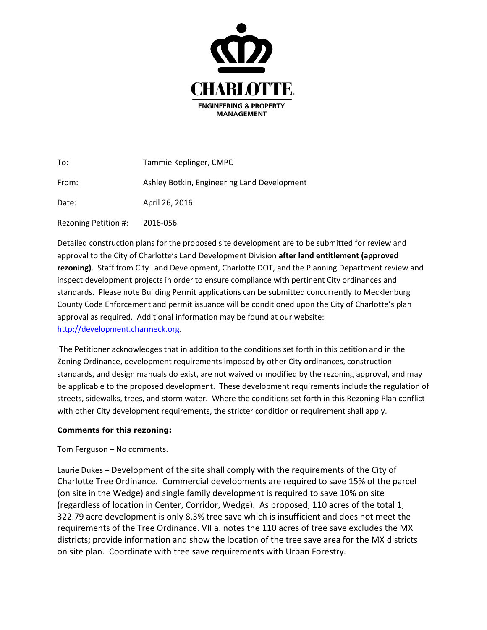

| To:                  | Tammie Keplinger, CMPC                      |
|----------------------|---------------------------------------------|
| From:                | Ashley Botkin, Engineering Land Development |
| Date:                | April 26, 2016                              |
| Rezoning Petition #: | 2016-056                                    |

Detailed construction plans for the proposed site development are to be submitted for review and approval to the City of Charlotte's Land Development Division **after land entitlement (approved rezoning)**. Staff from City Land Development, Charlotte DOT, and the Planning Department review and inspect development projects in order to ensure compliance with pertinent City ordinances and standards. Please note Building Permit applications can be submitted concurrently to Mecklenburg County Code Enforcement and permit issuance will be conditioned upon the City of Charlotte's plan approval as required. Additional information may be found at our website: [http://development.charmeck.org.](http://development.charmeck.org/)

The Petitioner acknowledges that in addition to the conditions set forth in this petition and in the Zoning Ordinance, development requirements imposed by other City ordinances, construction standards, and design manuals do exist, are not waived or modified by the rezoning approval, and may be applicable to the proposed development. These development requirements include the regulation of streets, sidewalks, trees, and storm water. Where the conditions set forth in this Rezoning Plan conflict with other City development requirements, the stricter condition or requirement shall apply.

## **Comments for this rezoning:**

Tom Ferguson – No comments.

Laurie Dukes – Development of the site shall comply with the requirements of the City of Charlotte Tree Ordinance. Commercial developments are required to save 15% of the parcel (on site in the Wedge) and single family development is required to save 10% on site (regardless of location in Center, Corridor, Wedge). As proposed, 110 acres of the total 1, 322.79 acre development is only 8.3% tree save which is insufficient and does not meet the requirements of the Tree Ordinance. VII a. notes the 110 acres of tree save excludes the MX districts; provide information and show the location of the tree save area for the MX districts on site plan. Coordinate with tree save requirements with Urban Forestry.